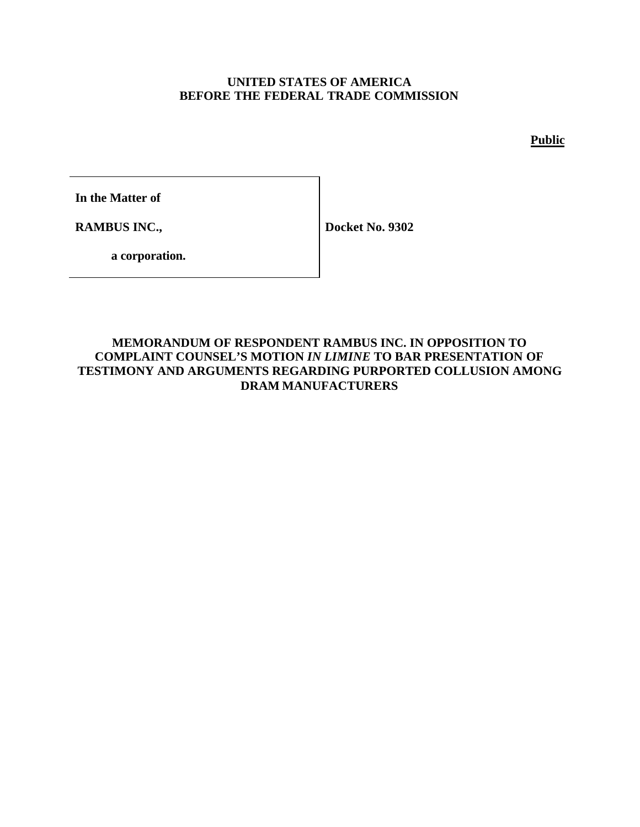## **UNITED STATES OF AMERICA BEFORE THE FEDERAL TRADE COMMISSION**

**Public**

**In the Matter of**

**RAMBUS INC.,**

**Docket No. 9302**

**a corporation.**

# **MEMORANDUM OF RESPONDENT RAMBUS INC. IN OPPOSITION TO COMPLAINT COUNSEL'S MOTION** *IN LIMINE* **TO BAR PRESENTATION OF TESTIMONY AND ARGUMENTS REGARDING PURPORTED COLLUSION AMONG DRAM MANUFACTURERS**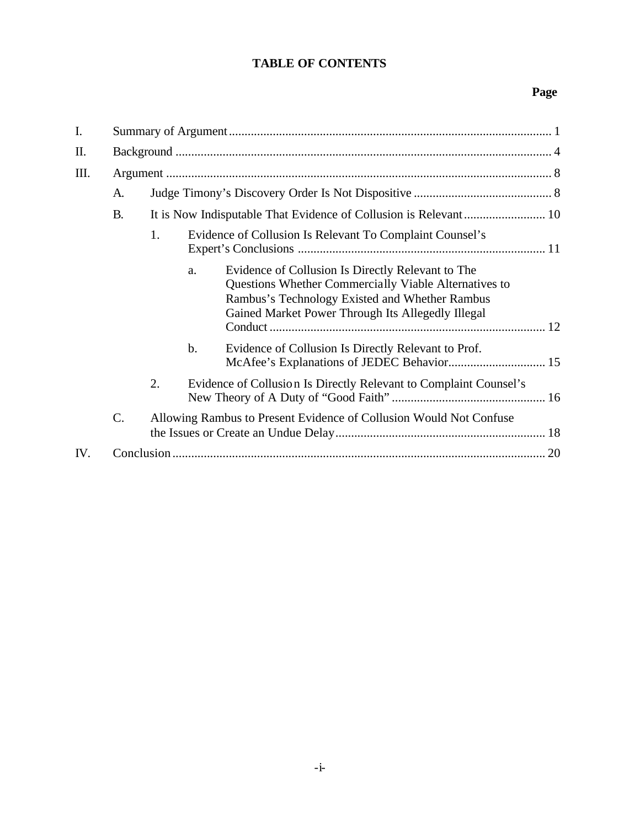# **TABLE OF CONTENTS**

# **Page**

| I.  |                                                                             |    |                                                          |                                                                                                                                                                                                                   |  |  |  |
|-----|-----------------------------------------------------------------------------|----|----------------------------------------------------------|-------------------------------------------------------------------------------------------------------------------------------------------------------------------------------------------------------------------|--|--|--|
| II. |                                                                             |    |                                                          |                                                                                                                                                                                                                   |  |  |  |
| Ш.  |                                                                             |    |                                                          |                                                                                                                                                                                                                   |  |  |  |
|     | A.                                                                          |    |                                                          |                                                                                                                                                                                                                   |  |  |  |
|     | <b>B.</b>                                                                   |    |                                                          |                                                                                                                                                                                                                   |  |  |  |
|     |                                                                             | 1. | Evidence of Collusion Is Relevant To Complaint Counsel's |                                                                                                                                                                                                                   |  |  |  |
|     |                                                                             |    | a.                                                       | Evidence of Collusion Is Directly Relevant to The<br>Questions Whether Commercially Viable Alternatives to<br>Rambus's Technology Existed and Whether Rambus<br>Gained Market Power Through Its Allegedly Illegal |  |  |  |
|     |                                                                             |    | b.                                                       | Evidence of Collusion Is Directly Relevant to Prof.                                                                                                                                                               |  |  |  |
|     |                                                                             | 2. |                                                          | Evidence of Collusion Is Directly Relevant to Complaint Counsel's                                                                                                                                                 |  |  |  |
|     | $C$ .<br>Allowing Rambus to Present Evidence of Collusion Would Not Confuse |    |                                                          |                                                                                                                                                                                                                   |  |  |  |
| IV. |                                                                             |    |                                                          |                                                                                                                                                                                                                   |  |  |  |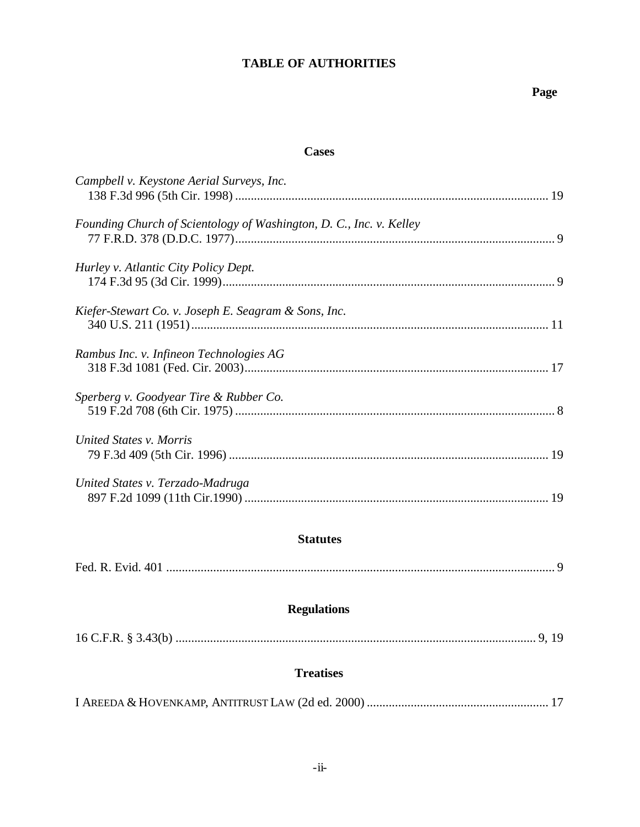# **TABLE OF AUTHORITIES**

# **Page**

# **Cases**

| Campbell v. Keystone Aerial Surveys, Inc.                           |  |
|---------------------------------------------------------------------|--|
| Founding Church of Scientology of Washington, D. C., Inc. v. Kelley |  |
| Hurley v. Atlantic City Policy Dept.                                |  |
| Kiefer-Stewart Co. v. Joseph E. Seagram & Sons, Inc.                |  |
| Rambus Inc. v. Infineon Technologies AG                             |  |
| Sperberg v. Goodyear Tire & Rubber Co.                              |  |
| United States v. Morris                                             |  |
| United States v. Terzado-Madruga                                    |  |

# **Statutes**

# **Regulations**

|--|--|--|--|

# **Treatises**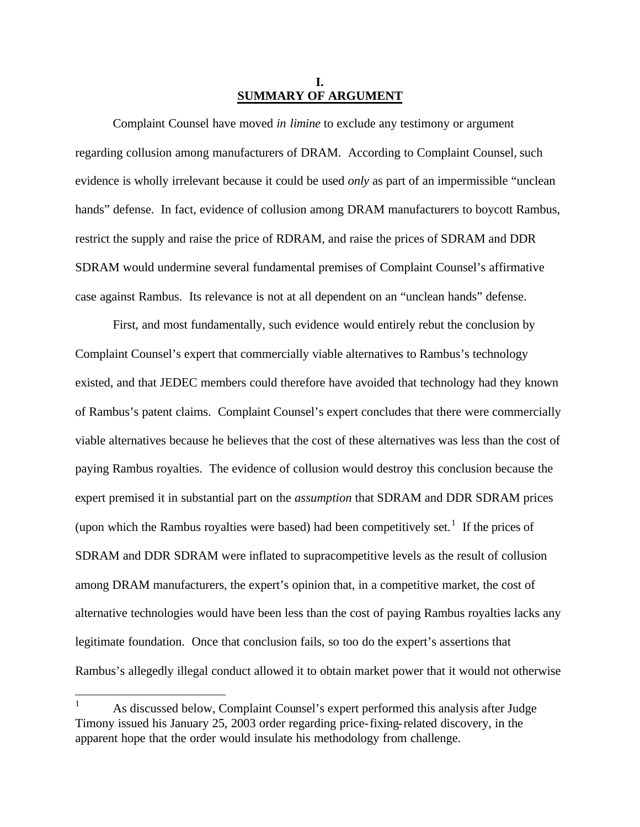#### **I. SUMMARY OF ARGUMENT**

Complaint Counsel have moved *in limine* to exclude any testimony or argument regarding collusion among manufacturers of DRAM. According to Complaint Counsel, such evidence is wholly irrelevant because it could be used *only* as part of an impermissible "unclean hands" defense. In fact, evidence of collusion among DRAM manufacturers to boycott Rambus, restrict the supply and raise the price of RDRAM, and raise the prices of SDRAM and DDR SDRAM would undermine several fundamental premises of Complaint Counsel's affirmative case against Rambus. Its relevance is not at all dependent on an "unclean hands" defense.

First, and most fundamentally, such evidence would entirely rebut the conclusion by Complaint Counsel's expert that commercially viable alternatives to Rambus's technology existed, and that JEDEC members could therefore have avoided that technology had they known of Rambus's patent claims. Complaint Counsel's expert concludes that there were commercially viable alternatives because he believes that the cost of these alternatives was less than the cost of paying Rambus royalties. The evidence of collusion would destroy this conclusion because the expert premised it in substantial part on the *assumption* that SDRAM and DDR SDRAM prices (upon which the Rambus royalties were based) had been competitively set.<sup>1</sup> If the prices of SDRAM and DDR SDRAM were inflated to supracompetitive levels as the result of collusion among DRAM manufacturers, the expert's opinion that, in a competitive market, the cost of alternative technologies would have been less than the cost of paying Rambus royalties lacks any legitimate foundation. Once that conclusion fails, so too do the expert's assertions that Rambus's allegedly illegal conduct allowed it to obtain market power that it would not otherwise

 $\overline{a}$ 

<sup>1</sup> As discussed below, Complaint Counsel's expert performed this analysis after Judge Timony issued his January 25, 2003 order regarding price-fixing-related discovery, in the apparent hope that the order would insulate his methodology from challenge.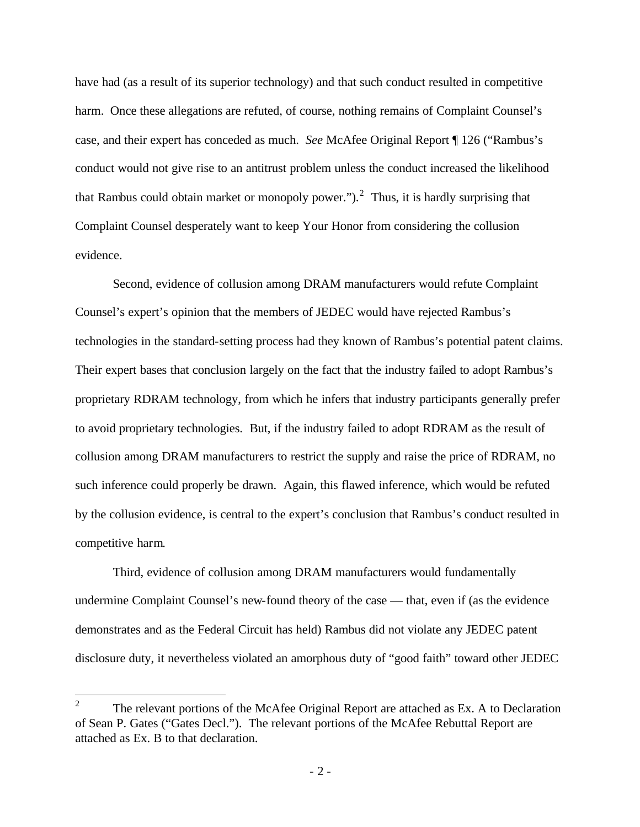have had (as a result of its superior technology) and that such conduct resulted in competitive harm. Once these allegations are refuted, of course, nothing remains of Complaint Counsel's case, and their expert has conceded as much. *See* McAfee Original Report ¶ 126 ("Rambus's conduct would not give rise to an antitrust problem unless the conduct increased the likelihood that Rambus could obtain market or monopoly power.").<sup>2</sup> Thus, it is hardly surprising that Complaint Counsel desperately want to keep Your Honor from considering the collusion evidence.

Second, evidence of collusion among DRAM manufacturers would refute Complaint Counsel's expert's opinion that the members of JEDEC would have rejected Rambus's technologies in the standard-setting process had they known of Rambus's potential patent claims. Their expert bases that conclusion largely on the fact that the industry failed to adopt Rambus's proprietary RDRAM technology, from which he infers that industry participants generally prefer to avoid proprietary technologies. But, if the industry failed to adopt RDRAM as the result of collusion among DRAM manufacturers to restrict the supply and raise the price of RDRAM, no such inference could properly be drawn. Again, this flawed inference, which would be refuted by the collusion evidence, is central to the expert's conclusion that Rambus's conduct resulted in competitive harm.

Third, evidence of collusion among DRAM manufacturers would fundamentally undermine Complaint Counsel's new-found theory of the case — that, even if (as the evidence demonstrates and as the Federal Circuit has held) Rambus did not violate any JEDEC patent disclosure duty, it nevertheless violated an amorphous duty of "good faith" toward other JEDEC

 $\frac{1}{2}$ The relevant portions of the McAfee Original Report are attached as Ex. A to Declaration of Sean P. Gates ("Gates Decl."). The relevant portions of the McAfee Rebuttal Report are attached as Ex. B to that declaration.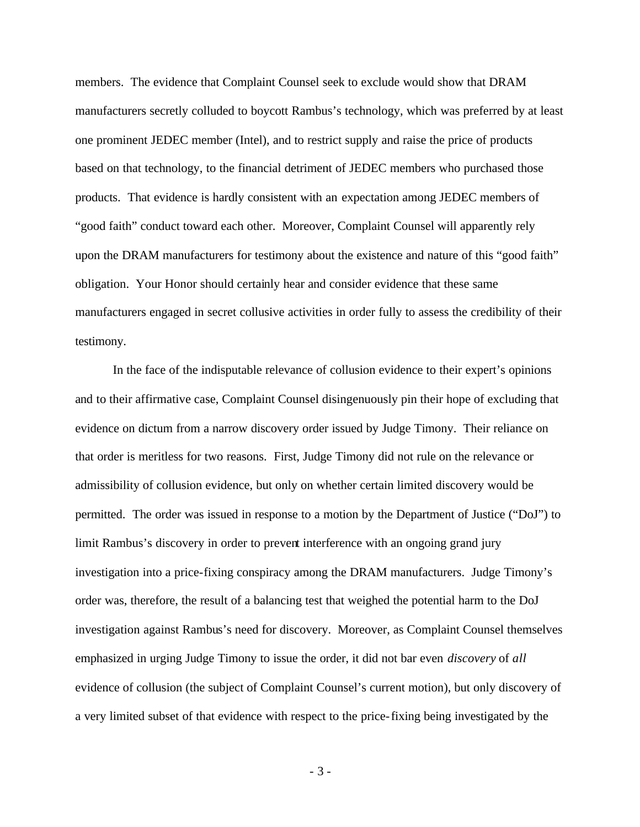members. The evidence that Complaint Counsel seek to exclude would show that DRAM manufacturers secretly colluded to boycott Rambus's technology, which was preferred by at least one prominent JEDEC member (Intel), and to restrict supply and raise the price of products based on that technology, to the financial detriment of JEDEC members who purchased those products. That evidence is hardly consistent with an expectation among JEDEC members of "good faith" conduct toward each other. Moreover, Complaint Counsel will apparently rely upon the DRAM manufacturers for testimony about the existence and nature of this "good faith" obligation. Your Honor should certainly hear and consider evidence that these same manufacturers engaged in secret collusive activities in order fully to assess the credibility of their testimony.

In the face of the indisputable relevance of collusion evidence to their expert's opinions and to their affirmative case, Complaint Counsel disingenuously pin their hope of excluding that evidence on dictum from a narrow discovery order issued by Judge Timony. Their reliance on that order is meritless for two reasons. First, Judge Timony did not rule on the relevance or admissibility of collusion evidence, but only on whether certain limited discovery would be permitted. The order was issued in response to a motion by the Department of Justice ("DoJ") to limit Rambus's discovery in order to prevent interference with an ongoing grand jury investigation into a price-fixing conspiracy among the DRAM manufacturers. Judge Timony's order was, therefore, the result of a balancing test that weighed the potential harm to the DoJ investigation against Rambus's need for discovery. Moreover, as Complaint Counsel themselves emphasized in urging Judge Timony to issue the order, it did not bar even *discovery* of *all* evidence of collusion (the subject of Complaint Counsel's current motion), but only discovery of a very limited subset of that evidence with respect to the price-fixing being investigated by the

- 3 -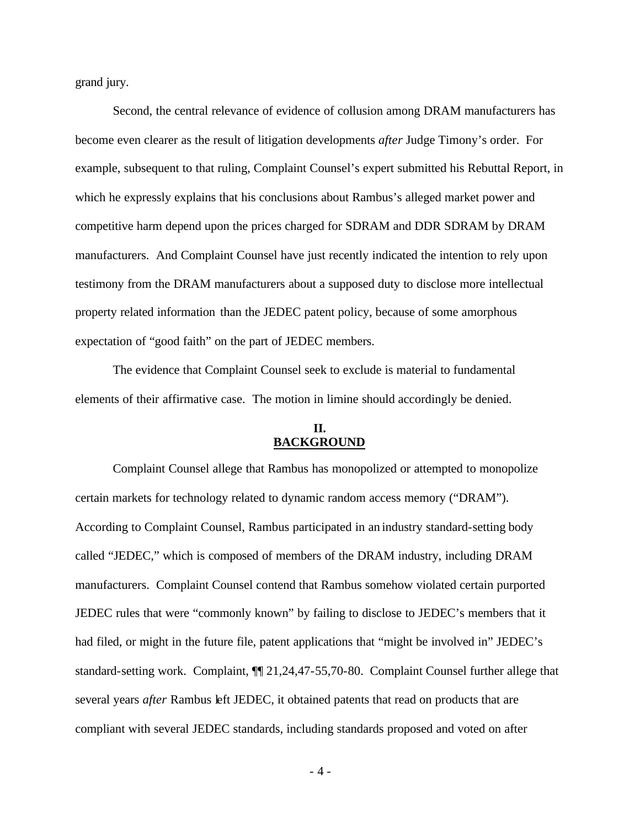grand jury.

Second, the central relevance of evidence of collusion among DRAM manufacturers has become even clearer as the result of litigation developments *after* Judge Timony's order. For example, subsequent to that ruling, Complaint Counsel's expert submitted his Rebuttal Report, in which he expressly explains that his conclusions about Rambus's alleged market power and competitive harm depend upon the prices charged for SDRAM and DDR SDRAM by DRAM manufacturers. And Complaint Counsel have just recently indicated the intention to rely upon testimony from the DRAM manufacturers about a supposed duty to disclose more intellectual property related information than the JEDEC patent policy, because of some amorphous expectation of "good faith" on the part of JEDEC members.

The evidence that Complaint Counsel seek to exclude is material to fundamental elements of their affirmative case. The motion in limine should accordingly be denied.

## **II. BACKGROUND**

Complaint Counsel allege that Rambus has monopolized or attempted to monopolize certain markets for technology related to dynamic random access memory ("DRAM"). According to Complaint Counsel, Rambus participated in an industry standard-setting body called "JEDEC," which is composed of members of the DRAM industry, including DRAM manufacturers. Complaint Counsel contend that Rambus somehow violated certain purported JEDEC rules that were "commonly known" by failing to disclose to JEDEC's members that it had filed, or might in the future file, patent applications that "might be involved in" JEDEC's standard-setting work. Complaint, ¶¶ 21,24,47-55,70-80. Complaint Counsel further allege that several years *after* Rambus left JEDEC, it obtained patents that read on products that are compliant with several JEDEC standards, including standards proposed and voted on after

- 4 -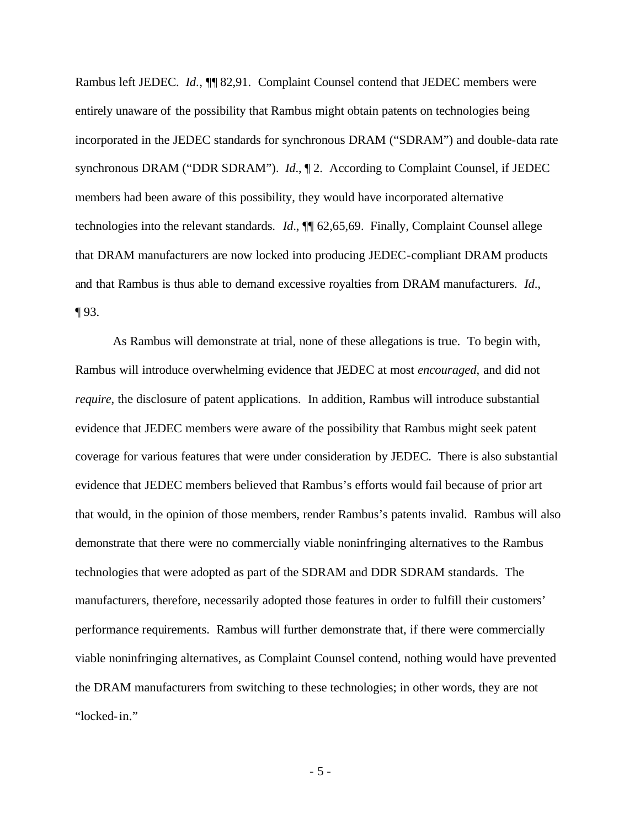Rambus left JEDEC. *Id.*, **[1]** 82,91. Complaint Counsel contend that JEDEC members were entirely unaware of the possibility that Rambus might obtain patents on technologies being incorporated in the JEDEC standards for synchronous DRAM ("SDRAM") and double-data rate synchronous DRAM ("DDR SDRAM"). *Id*., ¶ 2. According to Complaint Counsel, if JEDEC members had been aware of this possibility, they would have incorporated alternative technologies into the relevant standards. *Id*., ¶¶ 62,65,69. Finally, Complaint Counsel allege that DRAM manufacturers are now locked into producing JEDEC-compliant DRAM products and that Rambus is thus able to demand excessive royalties from DRAM manufacturers. *Id*.,  $\P$ 93.

As Rambus will demonstrate at trial, none of these allegations is true. To begin with, Rambus will introduce overwhelming evidence that JEDEC at most *encouraged*, and did not *require*, the disclosure of patent applications. In addition, Rambus will introduce substantial evidence that JEDEC members were aware of the possibility that Rambus might seek patent coverage for various features that were under consideration by JEDEC. There is also substantial evidence that JEDEC members believed that Rambus's efforts would fail because of prior art that would, in the opinion of those members, render Rambus's patents invalid. Rambus will also demonstrate that there were no commercially viable noninfringing alternatives to the Rambus technologies that were adopted as part of the SDRAM and DDR SDRAM standards. The manufacturers, therefore, necessarily adopted those features in order to fulfill their customers' performance requirements. Rambus will further demonstrate that, if there were commercially viable noninfringing alternatives, as Complaint Counsel contend, nothing would have prevented the DRAM manufacturers from switching to these technologies; in other words, they are not "locked-in."

- 5 -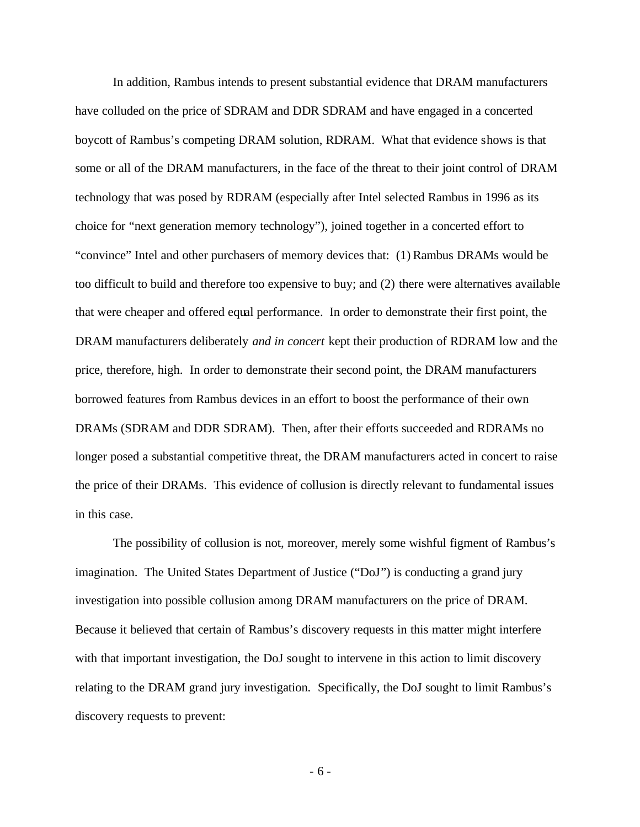In addition, Rambus intends to present substantial evidence that DRAM manufacturers have colluded on the price of SDRAM and DDR SDRAM and have engaged in a concerted boycott of Rambus's competing DRAM solution, RDRAM. What that evidence shows is that some or all of the DRAM manufacturers, in the face of the threat to their joint control of DRAM technology that was posed by RDRAM (especially after Intel selected Rambus in 1996 as its choice for "next generation memory technology"), joined together in a concerted effort to "convince" Intel and other purchasers of memory devices that: (1) Rambus DRAMs would be too difficult to build and therefore too expensive to buy; and (2) there were alternatives available that were cheaper and offered equal performance. In order to demonstrate their first point, the DRAM manufacturers deliberately *and in concert* kept their production of RDRAM low and the price, therefore, high. In order to demonstrate their second point, the DRAM manufacturers borrowed features from Rambus devices in an effort to boost the performance of their own DRAMs (SDRAM and DDR SDRAM). Then, after their efforts succeeded and RDRAMs no longer posed a substantial competitive threat, the DRAM manufacturers acted in concert to raise the price of their DRAMs. This evidence of collusion is directly relevant to fundamental issues in this case.

The possibility of collusion is not, moreover, merely some wishful figment of Rambus's imagination. The United States Department of Justice ("DoJ") is conducting a grand jury investigation into possible collusion among DRAM manufacturers on the price of DRAM. Because it believed that certain of Rambus's discovery requests in this matter might interfere with that important investigation, the DoJ sought to intervene in this action to limit discovery relating to the DRAM grand jury investigation. Specifically, the DoJ sought to limit Rambus's discovery requests to prevent:

- 6 -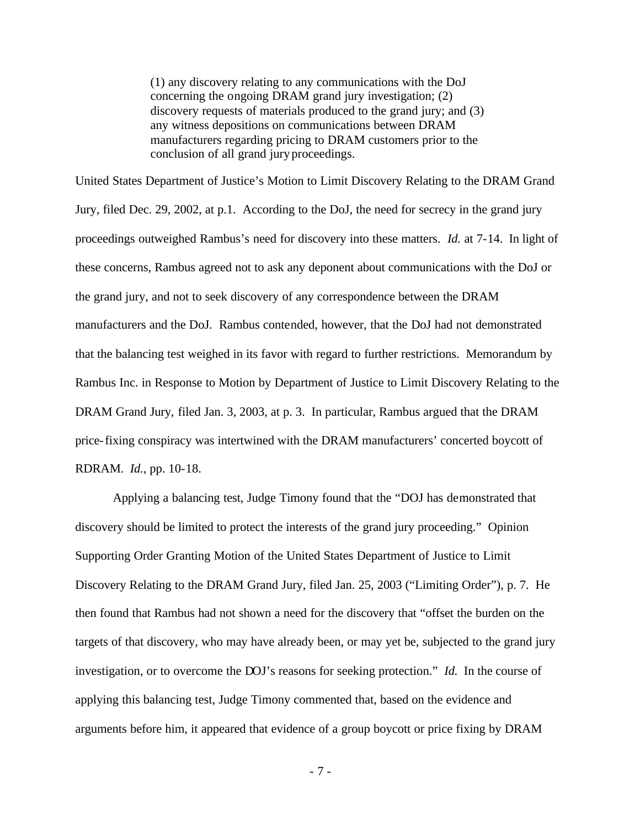(1) any discovery relating to any communications with the DoJ concerning the ongoing DRAM grand jury investigation; (2) discovery requests of materials produced to the grand jury; and (3) any witness depositions on communications between DRAM manufacturers regarding pricing to DRAM customers prior to the conclusion of all grand jury proceedings.

United States Department of Justice's Motion to Limit Discovery Relating to the DRAM Grand Jury, filed Dec. 29, 2002, at p.1. According to the DoJ, the need for secrecy in the grand jury proceedings outweighed Rambus's need for discovery into these matters. *Id.* at 7-14. In light of these concerns, Rambus agreed not to ask any deponent about communications with the DoJ or the grand jury, and not to seek discovery of any correspondence between the DRAM manufacturers and the DoJ. Rambus contended, however, that the DoJ had not demonstrated that the balancing test weighed in its favor with regard to further restrictions. Memorandum by Rambus Inc. in Response to Motion by Department of Justice to Limit Discovery Relating to the DRAM Grand Jury, filed Jan. 3, 2003, at p. 3. In particular, Rambus argued that the DRAM price-fixing conspiracy was intertwined with the DRAM manufacturers' concerted boycott of RDRAM. *Id.*, pp. 10-18.

Applying a balancing test, Judge Timony found that the "DOJ has demonstrated that discovery should be limited to protect the interests of the grand jury proceeding." Opinion Supporting Order Granting Motion of the United States Department of Justice to Limit Discovery Relating to the DRAM Grand Jury, filed Jan. 25, 2003 ("Limiting Order"), p. 7. He then found that Rambus had not shown a need for the discovery that "offset the burden on the targets of that discovery, who may have already been, or may yet be, subjected to the grand jury investigation, or to overcome the DOJ's reasons for seeking protection." *Id.* In the course of applying this balancing test, Judge Timony commented that, based on the evidence and arguments before him, it appeared that evidence of a group boycott or price fixing by DRAM

- 7 -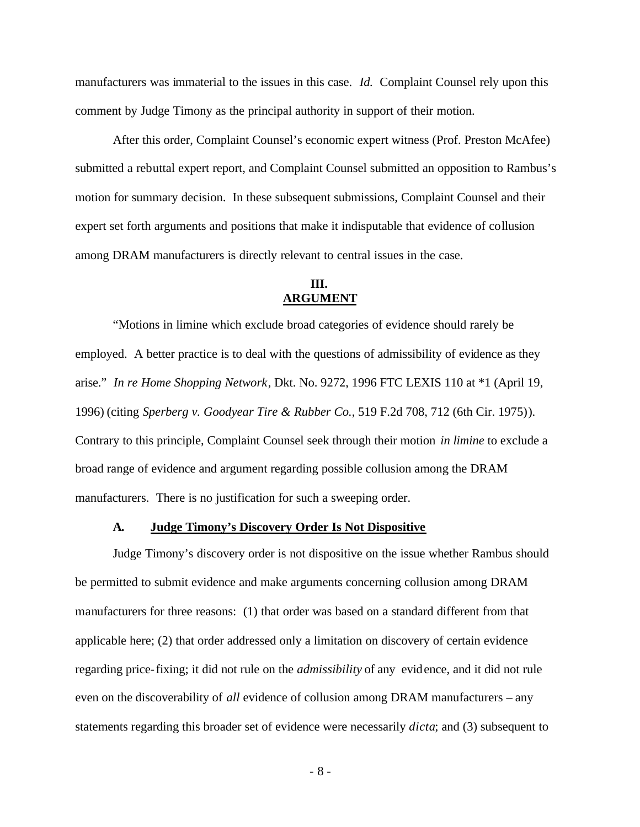manufacturers was immaterial to the issues in this case. *Id.* Complaint Counsel rely upon this comment by Judge Timony as the principal authority in support of their motion.

After this order, Complaint Counsel's economic expert witness (Prof. Preston McAfee) submitted a rebuttal expert report, and Complaint Counsel submitted an opposition to Rambus's motion for summary decision. In these subsequent submissions, Complaint Counsel and their expert set forth arguments and positions that make it indisputable that evidence of collusion among DRAM manufacturers is directly relevant to central issues in the case.

### **III. ARGUMENT**

"Motions in limine which exclude broad categories of evidence should rarely be employed. A better practice is to deal with the questions of admissibility of evidence as they arise." *In re Home Shopping Network*, Dkt. No. 9272, 1996 FTC LEXIS 110 at \*1 (April 19, 1996) (citing *Sperberg v. Goodyear Tire & Rubber Co.*, 519 F.2d 708, 712 (6th Cir. 1975)). Contrary to this principle, Complaint Counsel seek through their motion *in limine* to exclude a broad range of evidence and argument regarding possible collusion among the DRAM manufacturers. There is no justification for such a sweeping order.

#### **A. Judge Timony's Discovery Order Is Not Dispositive**

Judge Timony's discovery order is not dispositive on the issue whether Rambus should be permitted to submit evidence and make arguments concerning collusion among DRAM manufacturers for three reasons: (1) that order was based on a standard different from that applicable here; (2) that order addressed only a limitation on discovery of certain evidence regarding price-fixing; it did not rule on the *admissibility* of any evidence, and it did not rule even on the discoverability of *all* evidence of collusion among DRAM manufacturers – any statements regarding this broader set of evidence were necessarily *dicta*; and (3) subsequent to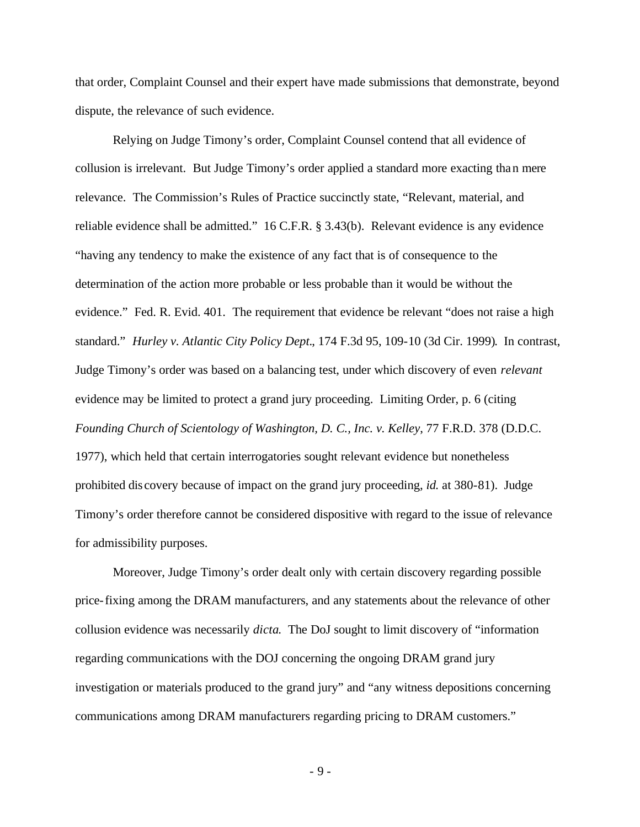that order, Complaint Counsel and their expert have made submissions that demonstrate, beyond dispute, the relevance of such evidence.

Relying on Judge Timony's order, Complaint Counsel contend that all evidence of collusion is irrelevant. But Judge Timony's order applied a standard more exacting than mere relevance. The Commission's Rules of Practice succinctly state, "Relevant, material, and reliable evidence shall be admitted." 16 C.F.R. § 3.43(b). Relevant evidence is any evidence "having any tendency to make the existence of any fact that is of consequence to the determination of the action more probable or less probable than it would be without the evidence." Fed. R. Evid. 401. The requirement that evidence be relevant "does not raise a high standard." *Hurley v. Atlantic City Policy Dept.*, 174 F.3d 95, 109-10 (3d Cir. 1999). In contrast, Judge Timony's order was based on a balancing test, under which discovery of even *relevant* evidence may be limited to protect a grand jury proceeding. Limiting Order, p. 6 (citing *Founding Church of Scientology of Washington, D. C., Inc. v. Kelley*, 77 F.R.D. 378 (D.D.C. 1977), which held that certain interrogatories sought relevant evidence but nonetheless prohibited dis covery because of impact on the grand jury proceeding, *id.* at 380-81). Judge Timony's order therefore cannot be considered dispositive with regard to the issue of relevance for admissibility purposes.

Moreover, Judge Timony's order dealt only with certain discovery regarding possible price-fixing among the DRAM manufacturers, and any statements about the relevance of other collusion evidence was necessarily *dicta*. The DoJ sought to limit discovery of "information regarding communications with the DOJ concerning the ongoing DRAM grand jury investigation or materials produced to the grand jury" and "any witness depositions concerning communications among DRAM manufacturers regarding pricing to DRAM customers."

- 9 -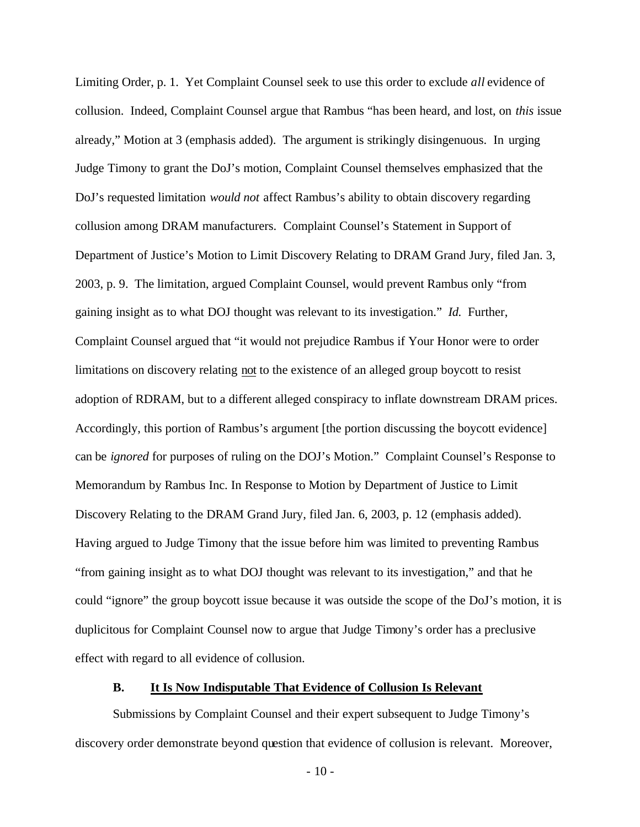Limiting Order, p. 1. Yet Complaint Counsel seek to use this order to exclude *all* evidence of collusion. Indeed, Complaint Counsel argue that Rambus "has been heard, and lost, on *this* issue already," Motion at 3 (emphasis added). The argument is strikingly disingenuous. In urging Judge Timony to grant the DoJ's motion, Complaint Counsel themselves emphasized that the DoJ's requested limitation *would not* affect Rambus's ability to obtain discovery regarding collusion among DRAM manufacturers. Complaint Counsel's Statement in Support of Department of Justice's Motion to Limit Discovery Relating to DRAM Grand Jury, filed Jan. 3, 2003, p. 9. The limitation, argued Complaint Counsel, would prevent Rambus only "from gaining insight as to what DOJ thought was relevant to its investigation." *Id.* Further, Complaint Counsel argued that "it would not prejudice Rambus if Your Honor were to order limitations on discovery relating not to the existence of an alleged group boycott to resist adoption of RDRAM, but to a different alleged conspiracy to inflate downstream DRAM prices. Accordingly, this portion of Rambus's argument [the portion discussing the boycott evidence] can be *ignored* for purposes of ruling on the DOJ's Motion." Complaint Counsel's Response to Memorandum by Rambus Inc. In Response to Motion by Department of Justice to Limit Discovery Relating to the DRAM Grand Jury, filed Jan. 6, 2003, p. 12 (emphasis added). Having argued to Judge Timony that the issue before him was limited to preventing Rambus "from gaining insight as to what DOJ thought was relevant to its investigation," and that he could "ignore" the group boycott issue because it was outside the scope of the DoJ's motion, it is duplicitous for Complaint Counsel now to argue that Judge Timony's order has a preclusive effect with regard to all evidence of collusion.

### **B. It Is Now Indisputable That Evidence of Collusion Is Relevant**

Submissions by Complaint Counsel and their expert subsequent to Judge Timony's discovery order demonstrate beyond question that evidence of collusion is relevant. Moreover,

- 10 -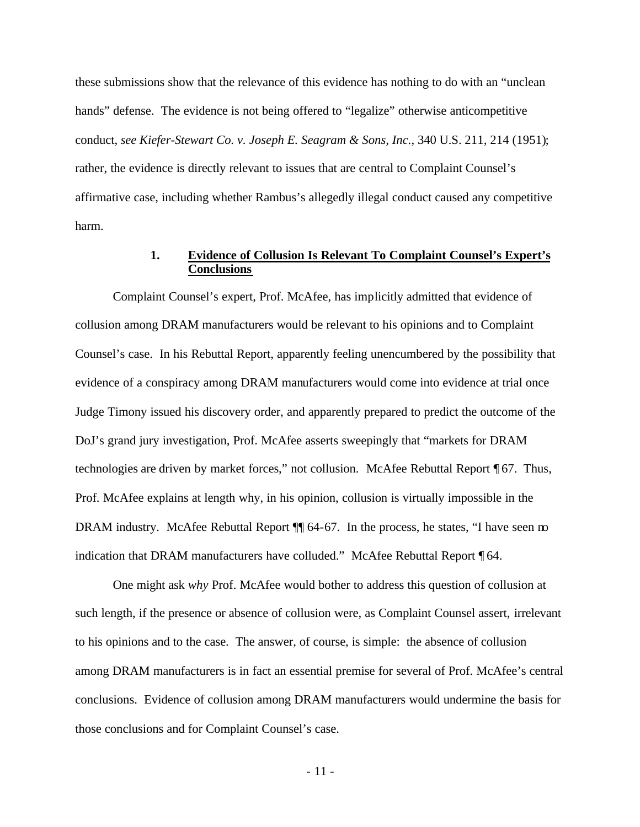these submissions show that the relevance of this evidence has nothing to do with an "unclean hands" defense. The evidence is not being offered to "legalize" otherwise anticompetitive conduct, *see Kiefer-Stewart Co. v. Joseph E. Seagram & Sons, Inc.*, 340 U.S. 211, 214 (1951); rather, the evidence is directly relevant to issues that are central to Complaint Counsel's affirmative case, including whether Rambus's allegedly illegal conduct caused any competitive harm.

## **1. Evidence of Collusion Is Relevant To Complaint Counsel's Expert's Conclusions**

Complaint Counsel's expert, Prof. McAfee, has implicitly admitted that evidence of collusion among DRAM manufacturers would be relevant to his opinions and to Complaint Counsel's case. In his Rebuttal Report, apparently feeling unencumbered by the possibility that evidence of a conspiracy among DRAM manufacturers would come into evidence at trial once Judge Timony issued his discovery order, and apparently prepared to predict the outcome of the DoJ's grand jury investigation, Prof. McAfee asserts sweepingly that "markets for DRAM technologies are driven by market forces," not collusion. McAfee Rebuttal Report ¶ 67. Thus, Prof. McAfee explains at length why, in his opinion, collusion is virtually impossible in the DRAM industry. McAfee Rebuttal Report  $\P\P$  64-67. In the process, he states, "I have seen no indication that DRAM manufacturers have colluded." McAfee Rebuttal Report ¶ 64.

One might ask *why* Prof. McAfee would bother to address this question of collusion at such length, if the presence or absence of collusion were, as Complaint Counsel assert, irrelevant to his opinions and to the case. The answer, of course, is simple: the absence of collusion among DRAM manufacturers is in fact an essential premise for several of Prof. McAfee's central conclusions. Evidence of collusion among DRAM manufacturers would undermine the basis for those conclusions and for Complaint Counsel's case.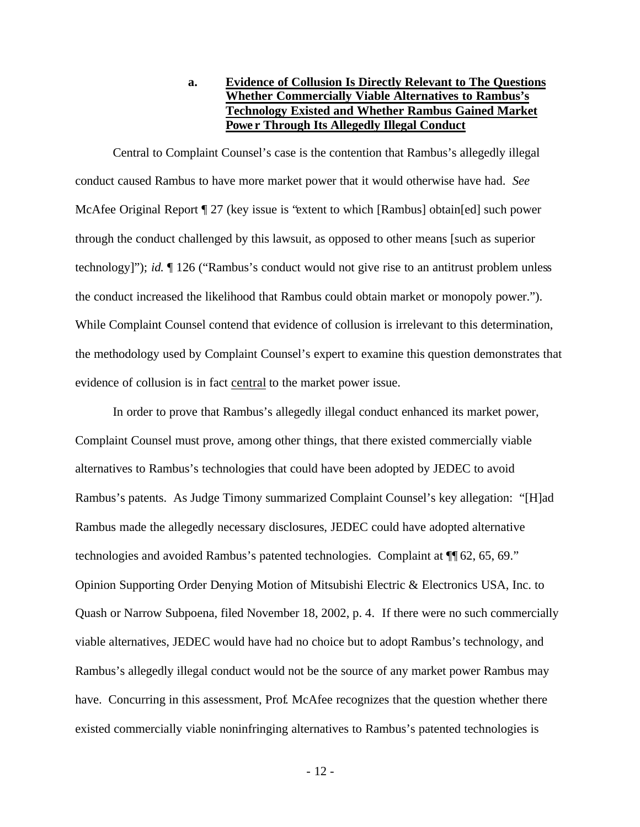## **a. Evidence of Collusion Is Directly Relevant to The Questions Whether Commercially Viable Alternatives to Rambus's Technology Existed and Whether Rambus Gained Market Powe r Through Its Allegedly Illegal Conduct**

Central to Complaint Counsel's case is the contention that Rambus's allegedly illegal conduct caused Rambus to have more market power that it would otherwise have had. *See* McAfee Original Report ¶ 27 (key issue is "extent to which [Rambus] obtain[ed] such power through the conduct challenged by this lawsuit, as opposed to other means [such as superior technology]"); *id.* ¶ 126 ("Rambus's conduct would not give rise to an antitrust problem unless the conduct increased the likelihood that Rambus could obtain market or monopoly power."). While Complaint Counsel contend that evidence of collusion is irrelevant to this determination, the methodology used by Complaint Counsel's expert to examine this question demonstrates that evidence of collusion is in fact central to the market power issue.

In order to prove that Rambus's allegedly illegal conduct enhanced its market power, Complaint Counsel must prove, among other things, that there existed commercially viable alternatives to Rambus's technologies that could have been adopted by JEDEC to avoid Rambus's patents. As Judge Timony summarized Complaint Counsel's key allegation: "[H]ad Rambus made the allegedly necessary disclosures, JEDEC could have adopted alternative technologies and avoided Rambus's patented technologies. Complaint at ¶¶ 62, 65, 69." Opinion Supporting Order Denying Motion of Mitsubishi Electric & Electronics USA, Inc. to Quash or Narrow Subpoena, filed November 18, 2002, p. 4. If there were no such commercially viable alternatives, JEDEC would have had no choice but to adopt Rambus's technology, and Rambus's allegedly illegal conduct would not be the source of any market power Rambus may have. Concurring in this assessment, Prof. McAfee recognizes that the question whether there existed commercially viable noninfringing alternatives to Rambus's patented technologies is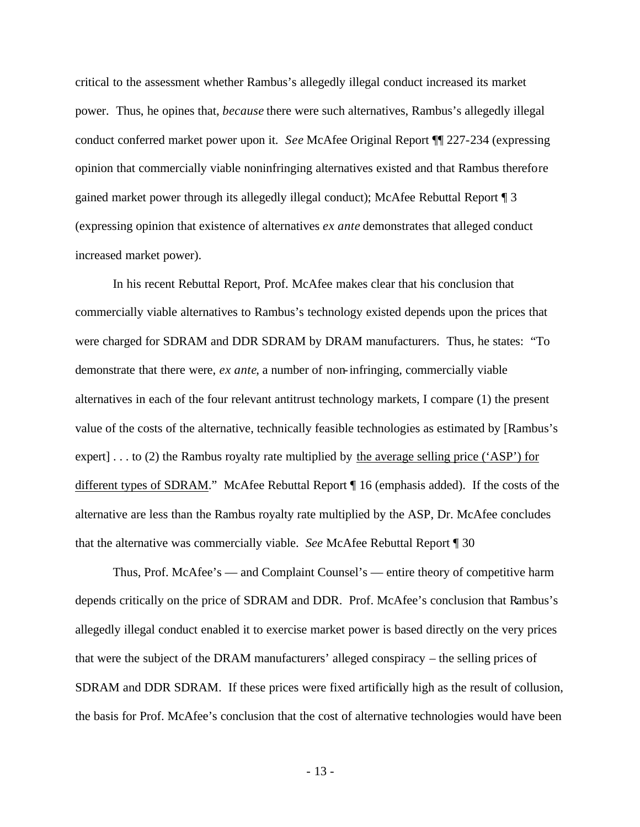critical to the assessment whether Rambus's allegedly illegal conduct increased its market power. Thus, he opines that, *because* there were such alternatives, Rambus's allegedly illegal conduct conferred market power upon it. *See* McAfee Original Report ¶¶ 227-234 (expressing opinion that commercially viable noninfringing alternatives existed and that Rambus therefore gained market power through its allegedly illegal conduct); McAfee Rebuttal Report ¶ 3 (expressing opinion that existence of alternatives *ex ante* demonstrates that alleged conduct increased market power).

In his recent Rebuttal Report, Prof. McAfee makes clear that his conclusion that commercially viable alternatives to Rambus's technology existed depends upon the prices that were charged for SDRAM and DDR SDRAM by DRAM manufacturers. Thus, he states: "To demonstrate that there were, *ex ante*, a number of non-infringing, commercially viable alternatives in each of the four relevant antitrust technology markets, I compare (1) the present value of the costs of the alternative, technically feasible technologies as estimated by [Rambus's expert] . . . to (2) the Rambus royalty rate multiplied by the average selling price ('ASP') for different types of SDRAM." McAfee Rebuttal Report ¶ 16 (emphasis added). If the costs of the alternative are less than the Rambus royalty rate multiplied by the ASP, Dr. McAfee concludes that the alternative was commercially viable. *See* McAfee Rebuttal Report ¶ 30

Thus, Prof. McAfee's — and Complaint Counsel's — entire theory of competitive harm depends critically on the price of SDRAM and DDR. Prof. McAfee's conclusion that Rambus's allegedly illegal conduct enabled it to exercise market power is based directly on the very prices that were the subject of the DRAM manufacturers' alleged conspiracy – the selling prices of SDRAM and DDR SDRAM. If these prices were fixed artificially high as the result of collusion, the basis for Prof. McAfee's conclusion that the cost of alternative technologies would have been

- 13 -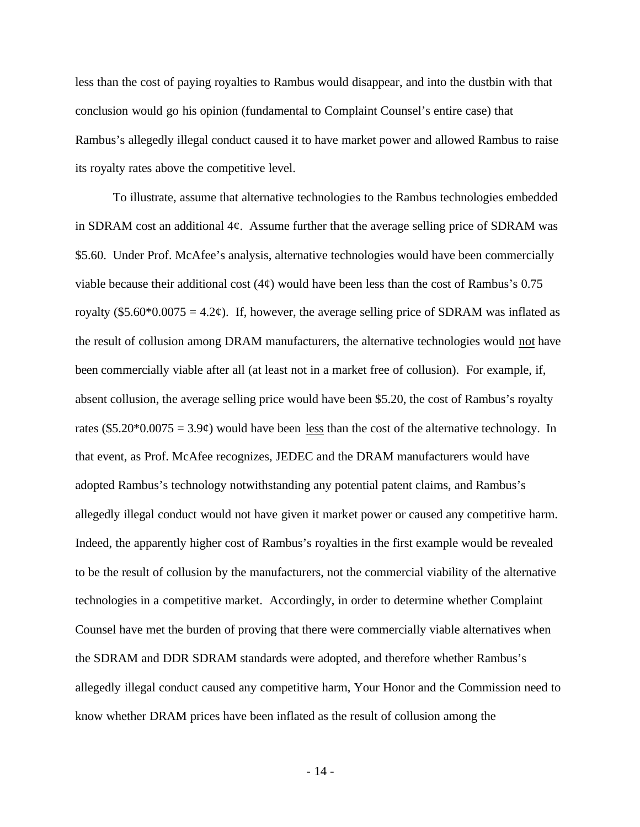less than the cost of paying royalties to Rambus would disappear, and into the dustbin with that conclusion would go his opinion (fundamental to Complaint Counsel's entire case) that Rambus's allegedly illegal conduct caused it to have market power and allowed Rambus to raise its royalty rates above the competitive level.

To illustrate, assume that alternative technologies to the Rambus technologies embedded in SDRAM cost an additional  $4\ell$ . Assume further that the average selling price of SDRAM was \$5.60. Under Prof. McAfee's analysis, alternative technologies would have been commercially viable because their additional cost  $(4¢)$  would have been less than the cost of Rambus's 0.75 royalty (\$5.60\*0.0075 = 4.2 $\varphi$ ). If, however, the average selling price of SDRAM was inflated as the result of collusion among DRAM manufacturers, the alternative technologies would not have been commercially viable after all (at least not in a market free of collusion). For example, if, absent collusion, the average selling price would have been \$5.20, the cost of Rambus's royalty rates  $(\$5.20*0.0075 = 3.9¢)$  would have been less than the cost of the alternative technology. In that event, as Prof. McAfee recognizes, JEDEC and the DRAM manufacturers would have adopted Rambus's technology notwithstanding any potential patent claims, and Rambus's allegedly illegal conduct would not have given it market power or caused any competitive harm. Indeed, the apparently higher cost of Rambus's royalties in the first example would be revealed to be the result of collusion by the manufacturers, not the commercial viability of the alternative technologies in a competitive market. Accordingly, in order to determine whether Complaint Counsel have met the burden of proving that there were commercially viable alternatives when the SDRAM and DDR SDRAM standards were adopted, and therefore whether Rambus's allegedly illegal conduct caused any competitive harm, Your Honor and the Commission need to know whether DRAM prices have been inflated as the result of collusion among the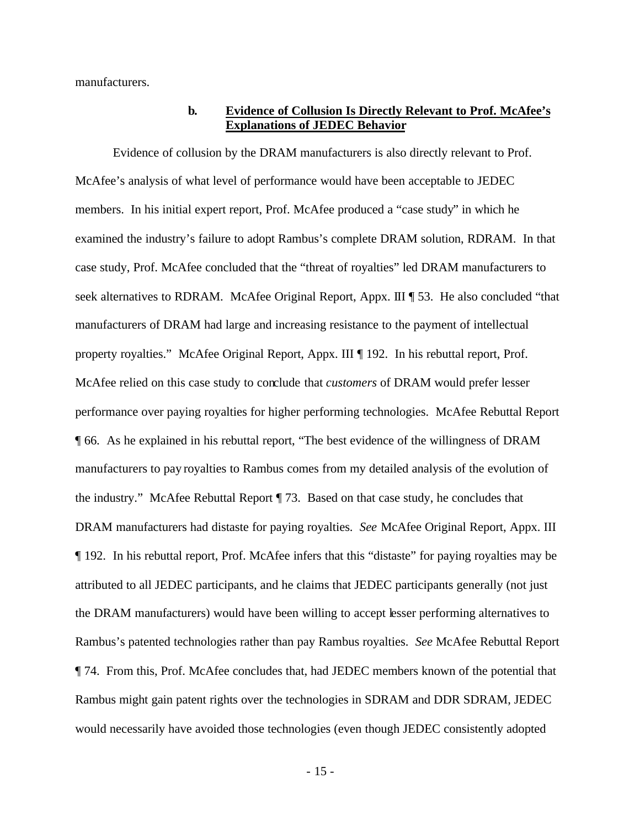manufacturers.

### **b. Evidence of Collusion Is Directly Relevant to Prof. McAfee's Explanations of JEDEC Behavior**

Evidence of collusion by the DRAM manufacturers is also directly relevant to Prof. McAfee's analysis of what level of performance would have been acceptable to JEDEC members. In his initial expert report, Prof. McAfee produced a "case study" in which he examined the industry's failure to adopt Rambus's complete DRAM solution, RDRAM. In that case study, Prof. McAfee concluded that the "threat of royalties" led DRAM manufacturers to seek alternatives to RDRAM. McAfee Original Report, Appx. III ¶ 53. He also concluded "that manufacturers of DRAM had large and increasing resistance to the payment of intellectual property royalties." McAfee Original Report, Appx. III ¶ 192. In his rebuttal report, Prof. McAfee relied on this case study to conclude that *customers* of DRAM would prefer lesser performance over paying royalties for higher performing technologies. McAfee Rebuttal Report ¶ 66. As he explained in his rebuttal report, "The best evidence of the willingness of DRAM manufacturers to pay royalties to Rambus comes from my detailed analysis of the evolution of the industry." McAfee Rebuttal Report ¶ 73. Based on that case study, he concludes that DRAM manufacturers had distaste for paying royalties. *See* McAfee Original Report, Appx. III ¶ 192. In his rebuttal report, Prof. McAfee infers that this "distaste" for paying royalties may be attributed to all JEDEC participants, and he claims that JEDEC participants generally (not just the DRAM manufacturers) would have been willing to accept lesser performing alternatives to Rambus's patented technologies rather than pay Rambus royalties. *See* McAfee Rebuttal Report ¶ 74. From this, Prof. McAfee concludes that, had JEDEC members known of the potential that Rambus might gain patent rights over the technologies in SDRAM and DDR SDRAM, JEDEC would necessarily have avoided those technologies (even though JEDEC consistently adopted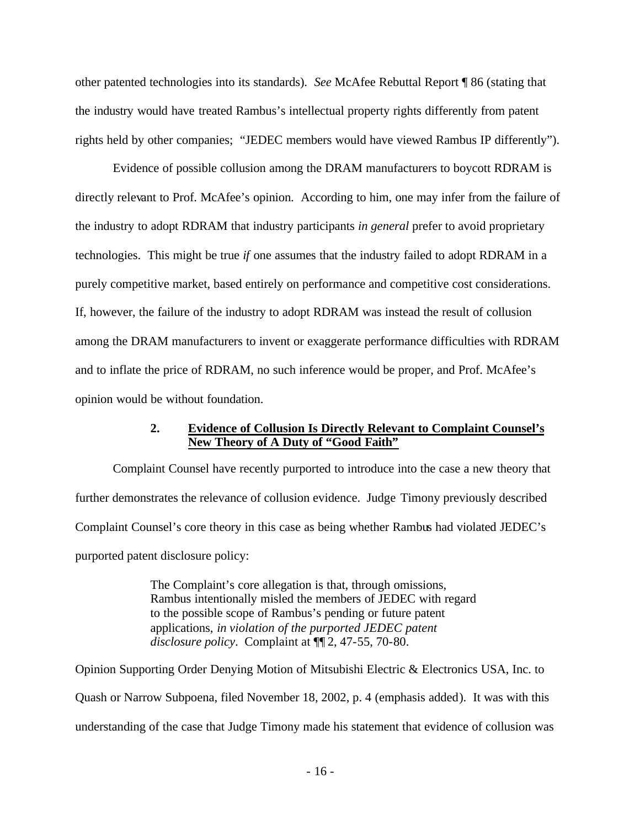other patented technologies into its standards). *See* McAfee Rebuttal Report ¶ 86 (stating that the industry would have treated Rambus's intellectual property rights differently from patent rights held by other companies; "JEDEC members would have viewed Rambus IP differently").

Evidence of possible collusion among the DRAM manufacturers to boycott RDRAM is directly relevant to Prof. McAfee's opinion. According to him, one may infer from the failure of the industry to adopt RDRAM that industry participants *in general* prefer to avoid proprietary technologies. This might be true *if* one assumes that the industry failed to adopt RDRAM in a purely competitive market, based entirely on performance and competitive cost considerations. If, however, the failure of the industry to adopt RDRAM was instead the result of collusion among the DRAM manufacturers to invent or exaggerate performance difficulties with RDRAM and to inflate the price of RDRAM, no such inference would be proper, and Prof. McAfee's opinion would be without foundation.

## **2. Evidence of Collusion Is Directly Relevant to Complaint Counsel's New Theory of A Duty of "Good Faith"**

Complaint Counsel have recently purported to introduce into the case a new theory that further demonstrates the relevance of collusion evidence. Judge Timony previously described Complaint Counsel's core theory in this case as being whether Rambus had violated JEDEC's purported patent disclosure policy:

> The Complaint's core allegation is that, through omissions, Rambus intentionally misled the members of JEDEC with regard to the possible scope of Rambus's pending or future patent applications, *in violation of the purported JEDEC patent disclosure policy*. Complaint at ¶¶ 2, 47-55, 70-80.

Opinion Supporting Order Denying Motion of Mitsubishi Electric & Electronics USA, Inc. to Quash or Narrow Subpoena, filed November 18, 2002, p. 4 (emphasis added). It was with this understanding of the case that Judge Timony made his statement that evidence of collusion was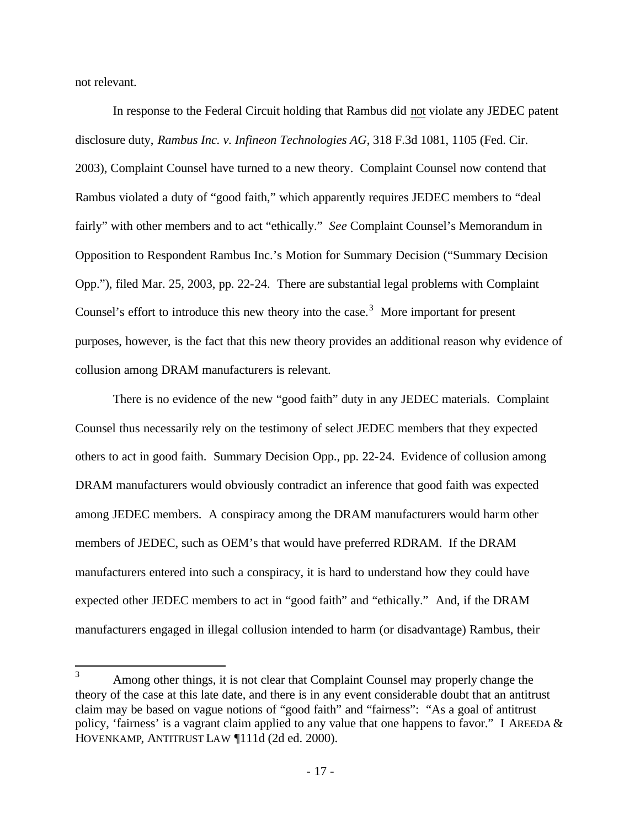not relevant.

In response to the Federal Circuit holding that Rambus did not violate any JEDEC patent disclosure duty, *Rambus Inc. v. Infineon Technologies AG*, 318 F.3d 1081, 1105 (Fed. Cir. 2003), Complaint Counsel have turned to a new theory. Complaint Counsel now contend that Rambus violated a duty of "good faith," which apparently requires JEDEC members to "deal fairly" with other members and to act "ethically." *See* Complaint Counsel's Memorandum in Opposition to Respondent Rambus Inc.'s Motion for Summary Decision ("Summary Decision Opp."), filed Mar. 25, 2003, pp. 22-24. There are substantial legal problems with Complaint Counsel's effort to introduce this new theory into the case.<sup>3</sup> More important for present purposes, however, is the fact that this new theory provides an additional reason why evidence of collusion among DRAM manufacturers is relevant.

There is no evidence of the new "good faith" duty in any JEDEC materials. Complaint Counsel thus necessarily rely on the testimony of select JEDEC members that they expected others to act in good faith. Summary Decision Opp., pp. 22-24. Evidence of collusion among DRAM manufacturers would obviously contradict an inference that good faith was expected among JEDEC members. A conspiracy among the DRAM manufacturers would harm other members of JEDEC, such as OEM's that would have preferred RDRAM. If the DRAM manufacturers entered into such a conspiracy, it is hard to understand how they could have expected other JEDEC members to act in "good faith" and "ethically." And, if the DRAM manufacturers engaged in illegal collusion intended to harm (or disadvantage) Rambus, their

 $\overline{3}$ Among other things, it is not clear that Complaint Counsel may properly change the theory of the case at this late date, and there is in any event considerable doubt that an antitrust claim may be based on vague notions of "good faith" and "fairness": "As a goal of antitrust policy, 'fairness' is a vagrant claim applied to any value that one happens to favor." I AREEDA & HOVENKAMP, ANTITRUST LAW ¶111d (2d ed. 2000).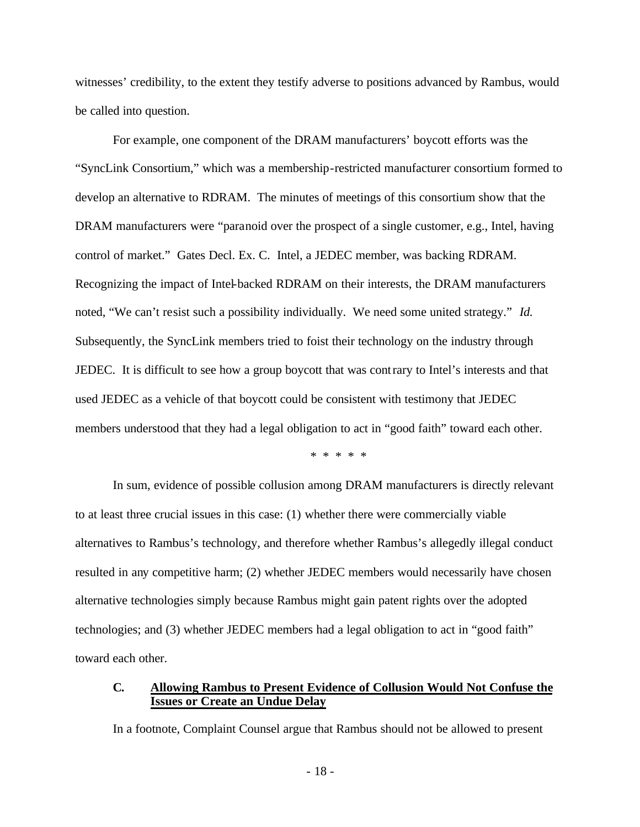witnesses' credibility, to the extent they testify adverse to positions advanced by Rambus, would be called into question.

For example, one component of the DRAM manufacturers' boycott efforts was the "SyncLink Consortium," which was a membership-restricted manufacturer consortium formed to develop an alternative to RDRAM. The minutes of meetings of this consortium show that the DRAM manufacturers were "paranoid over the prospect of a single customer, e.g., Intel, having control of market." Gates Decl. Ex. C. Intel, a JEDEC member, was backing RDRAM. Recognizing the impact of Intel-backed RDRAM on their interests, the DRAM manufacturers noted, "We can't resist such a possibility individually. We need some united strategy." *Id.* Subsequently, the SyncLink members tried to foist their technology on the industry through JEDEC. It is difficult to see how a group boycott that was contrary to Intel's interests and that used JEDEC as a vehicle of that boycott could be consistent with testimony that JEDEC members understood that they had a legal obligation to act in "good faith" toward each other.

\* \* \* \* \*

In sum, evidence of possible collusion among DRAM manufacturers is directly relevant to at least three crucial issues in this case: (1) whether there were commercially viable alternatives to Rambus's technology, and therefore whether Rambus's allegedly illegal conduct resulted in any competitive harm; (2) whether JEDEC members would necessarily have chosen alternative technologies simply because Rambus might gain patent rights over the adopted technologies; and (3) whether JEDEC members had a legal obligation to act in "good faith" toward each other.

### **C. Allowing Rambus to Present Evidence of Collusion Would Not Confuse the Issues or Create an Undue Delay**

In a footnote, Complaint Counsel argue that Rambus should not be allowed to present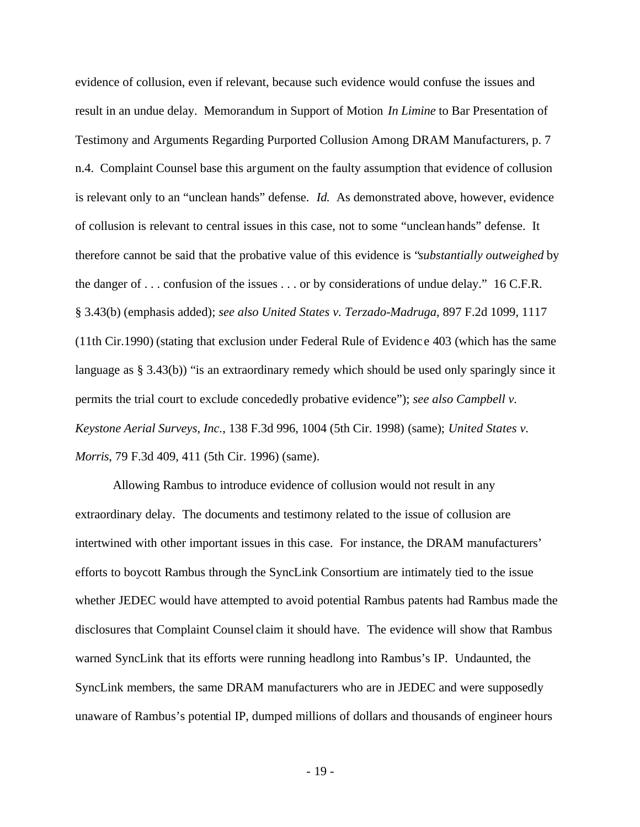evidence of collusion, even if relevant, because such evidence would confuse the issues and result in an undue delay. Memorandum in Support of Motion *In Limine* to Bar Presentation of Testimony and Arguments Regarding Purported Collusion Among DRAM Manufacturers, p. 7 n.4. Complaint Counsel base this argument on the faulty assumption that evidence of collusion is relevant only to an "unclean hands" defense. *Id.* As demonstrated above, however, evidence of collusion is relevant to central issues in this case, not to some "unclean hands" defense. It therefore cannot be said that the probative value of this evidence is "*substantially outweighed* by the danger of . . . confusion of the issues . . . or by considerations of undue delay." 16 C.F.R. § 3.43(b) (emphasis added); *see also United States v. Terzado-Madruga*, 897 F.2d 1099, 1117 (11th Cir.1990) (stating that exclusion under Federal Rule of Evidenc e 403 (which has the same language as § 3.43(b)) "is an extraordinary remedy which should be used only sparingly since it permits the trial court to exclude concededly probative evidence"); *see also Campbell v. Keystone Aerial Surveys, Inc.*, 138 F.3d 996, 1004 (5th Cir. 1998) (same); *United States v. Morris*, 79 F.3d 409, 411 (5th Cir. 1996) (same).

Allowing Rambus to introduce evidence of collusion would not result in any extraordinary delay. The documents and testimony related to the issue of collusion are intertwined with other important issues in this case. For instance, the DRAM manufacturers' efforts to boycott Rambus through the SyncLink Consortium are intimately tied to the issue whether JEDEC would have attempted to avoid potential Rambus patents had Rambus made the disclosures that Complaint Counsel claim it should have. The evidence will show that Rambus warned SyncLink that its efforts were running headlong into Rambus's IP. Undaunted, the SyncLink members, the same DRAM manufacturers who are in JEDEC and were supposedly unaware of Rambus's potential IP, dumped millions of dollars and thousands of engineer hours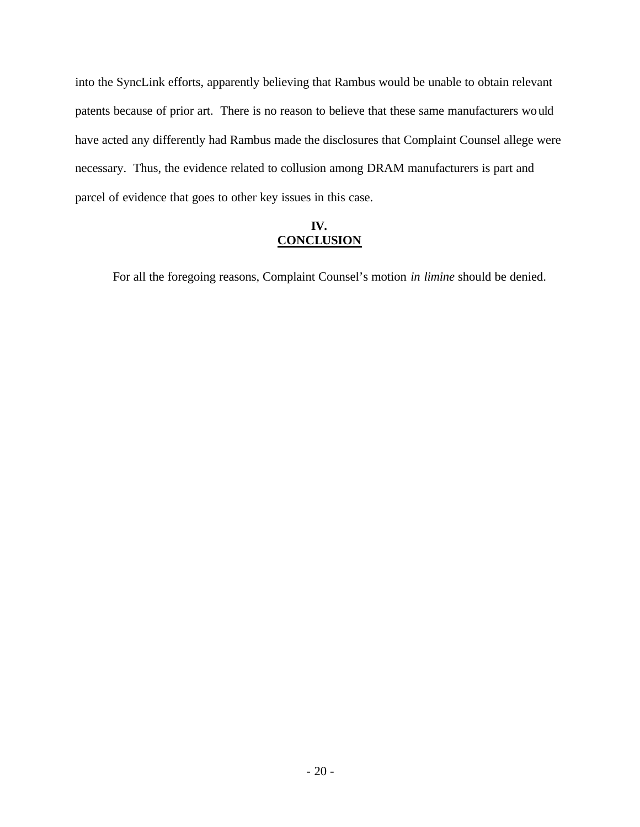into the SyncLink efforts, apparently believing that Rambus would be unable to obtain relevant patents because of prior art. There is no reason to believe that these same manufacturers would have acted any differently had Rambus made the disclosures that Complaint Counsel allege were necessary. Thus, the evidence related to collusion among DRAM manufacturers is part and parcel of evidence that goes to other key issues in this case.

## **IV. CONCLUSION**

For all the foregoing reasons, Complaint Counsel's motion *in limine* should be denied.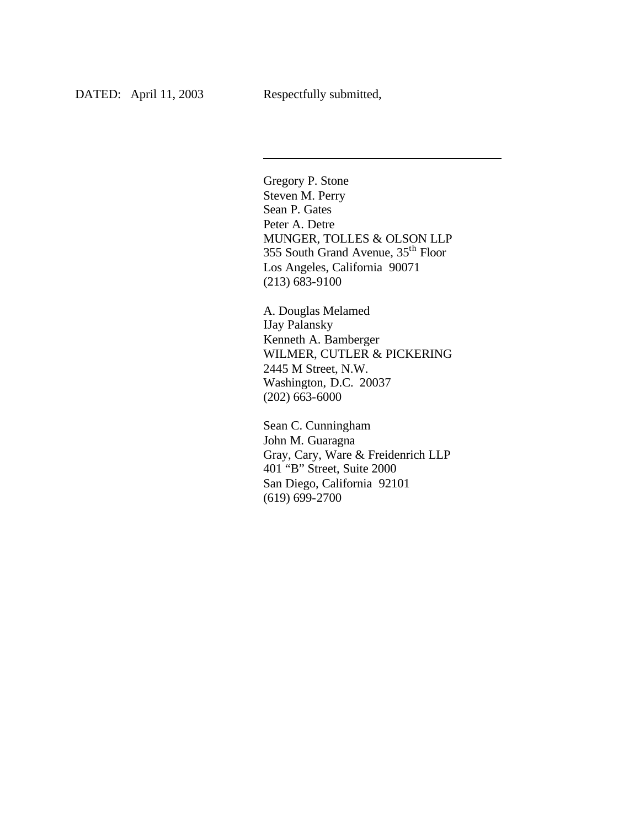l

Gregory P. Stone Steven M. Perry Sean P. Gates Peter A. Detre MUNGER, TOLLES & OLSON LLP 355 South Grand Avenue, 35th Floor Los Angeles, California 90071 (213) 683-9100

A. Douglas Melamed IJay Palansky Kenneth A. Bamberger WILMER, CUTLER & PICKERING 2445 M Street, N.W. Washington, D.C. 20037 (202) 663-6000

Sean C. Cunningham John M. Guaragna Gray, Cary, Ware & Freidenrich LLP 401 "B" Street, Suite 2000 San Diego, California 92101 (619) 699-2700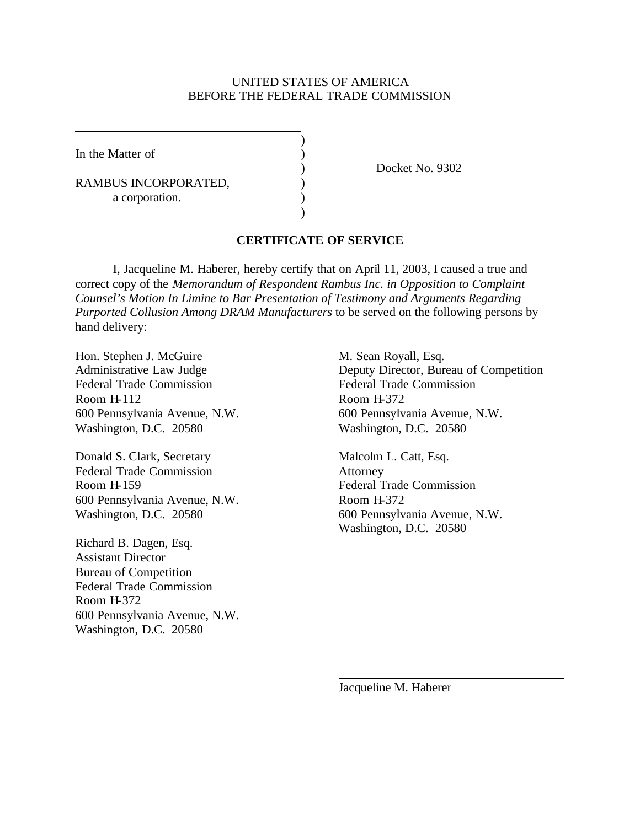### UNITED STATES OF AMERICA BEFORE THE FEDERAL TRADE COMMISSION

)

)

In the Matter of  $\qquad \qquad$  )

RAMBUS INCORPORATED,  $($ a corporation.

) Docket No. 9302

### **CERTIFICATE OF SERVICE**

I, Jacqueline M. Haberer, hereby certify that on April 11, 2003, I caused a true and correct copy of the *Memorandum of Respondent Rambus Inc. in Opposition to Complaint Counsel's Motion In Limine to Bar Presentation of Testimony and Arguments Regarding Purported Collusion Among DRAM Manufacturers* to be served on the following persons by hand delivery:

Hon. Stephen J. McGuire M. Sean Royall, Esq. Federal Trade Commission<br>
Federal Trade Commission Room H-112 Room H-372 Washington, D.C. 20580 Washington, D.C. 20580

Donald S. Clark, Secretary Malcolm L. Catt, Esq. Federal Trade Commission Attorney Room H-159 Federal Trade Commission 600 Pennsylvania Avenue, N.W. Room H-372

Richard B. Dagen, Esq. Assistant Director Bureau of Competition Federal Trade Commission Room H-372 600 Pennsylvania Avenue, N.W. Washington, D.C. 20580

Administrative Law Judge Deputy Director, Bureau of Competition 600 Pennsylvania Avenue, N.W. 600 Pennsylvania Avenue, N.W.

Washington, D.C. 20580 600 Pennsylvania Avenue, N.W. Washington, D.C. 20580

Jacqueline M. Haberer